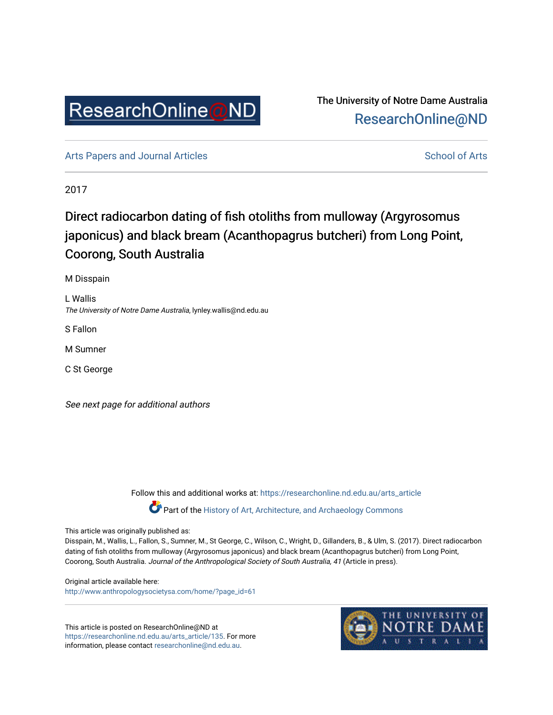

The University of Notre Dame Australia [ResearchOnline@ND](https://researchonline.nd.edu.au/) 

[Arts Papers and Journal Articles](https://researchonline.nd.edu.au/arts_article) **School of Arts** School of Arts

2017

# Direct radiocarbon dating of fish otoliths from mulloway (Argyrosomus japonicus) and black bream (Acanthopagrus butcheri) from Long Point, Coorong, South Australia

M Disspain

L Wallis The University of Notre Dame Australia, lynley.wallis@nd.edu.au

S Fallon

M Sumner

C St George

See next page for additional authors

Follow this and additional works at: [https://researchonline.nd.edu.au/arts\\_article](https://researchonline.nd.edu.au/arts_article?utm_source=researchonline.nd.edu.au%2Farts_article%2F135&utm_medium=PDF&utm_campaign=PDFCoverPages) 

Part of the [History of Art, Architecture, and Archaeology Commons](http://network.bepress.com/hgg/discipline/510?utm_source=researchonline.nd.edu.au%2Farts_article%2F135&utm_medium=PDF&utm_campaign=PDFCoverPages) 

This article was originally published as:

Disspain, M., Wallis, L., Fallon, S., Sumner, M., St George, C., Wilson, C., Wright, D., Gillanders, B., & Ulm, S. (2017). Direct radiocarbon dating of fish otoliths from mulloway (Argyrosomus japonicus) and black bream (Acanthopagrus butcheri) from Long Point, Coorong, South Australia. Journal of the Anthropological Society of South Australia, 41 (Article in press).

Original article available here: [http://www.anthropologysocietysa.com/home/?page\\_id=61](http://www.anthropologysocietysa.com/home/?page_id=61) 

This article is posted on ResearchOnline@ND at [https://researchonline.nd.edu.au/arts\\_article/135](https://researchonline.nd.edu.au/arts_article/135). For more information, please contact [researchonline@nd.edu.au.](mailto:researchonline@nd.edu.au)

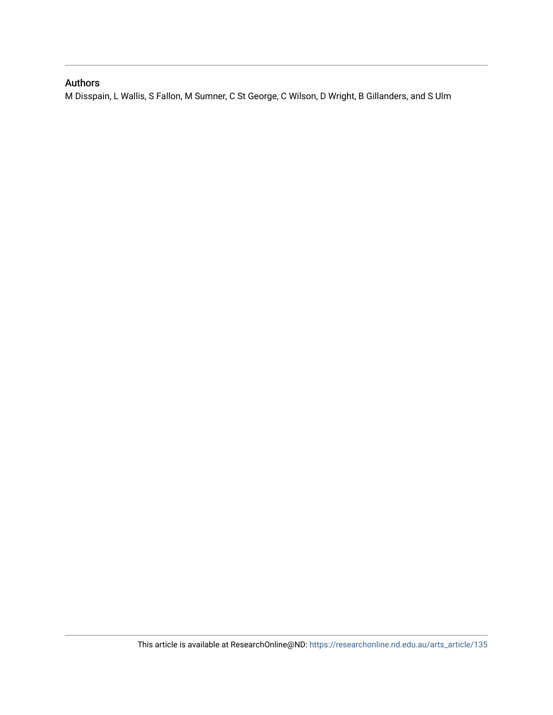## Authors

M Disspain, L Wallis, S Fallon, M Sumner, C St George, C Wilson, D Wright, B Gillanders, and S Ulm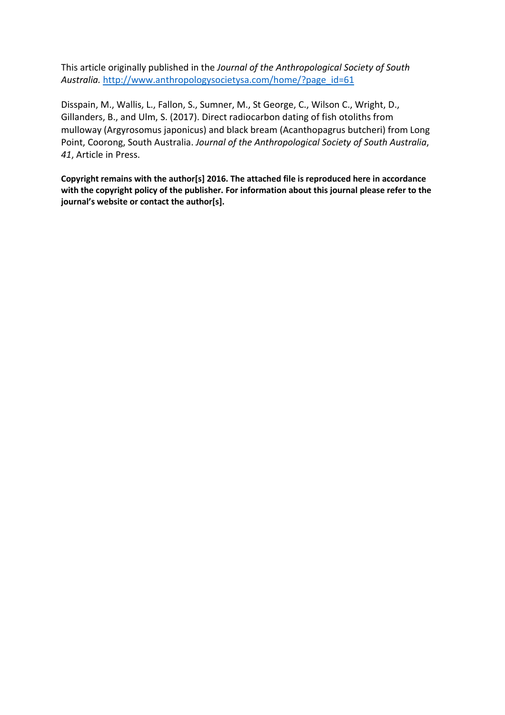This article originally published in the *Journal of the Anthropological Society of South Australia.* [http://www.anthropologysocietysa.com/home/?page\\_id=61](http://www.anthropologysocietysa.com/home/?page_id=61) 

Disspain, M., Wallis, L., Fallon, S., Sumner, M., St George, C., Wilson C., Wright, D., Gillanders, B., and Ulm, S. (2017). Direct radiocarbon dating of fish otoliths from mulloway (Argyrosomus japonicus) and black bream (Acanthopagrus butcheri) from Long Point, Coorong, South Australia. *Journal of the Anthropological Society of South Australia*, *41*, Article in Press.

**Copyright remains with the author[s] 2016. The attached file is reproduced here in accordance with the copyright policy of the publisher. For information about this journal please refer to the journal's website or contact the author[s].**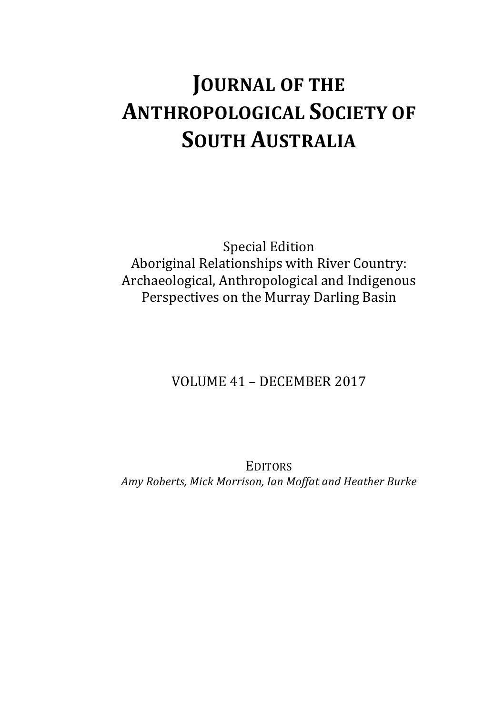# **JOURNAL OF THE ANTHROPOLOGICAL SOCIETY OF SOUTH AUSTRALIA**

Special Edition Aboriginal Relationships with River Country: Archaeological, Anthropological and Indigenous Perspectives on the Murray Darling Basin

VOLUME 41 - DECEMBER 2017

EDITORS Amy Roberts, Mick Morrison, Ian Moffat and Heather Burke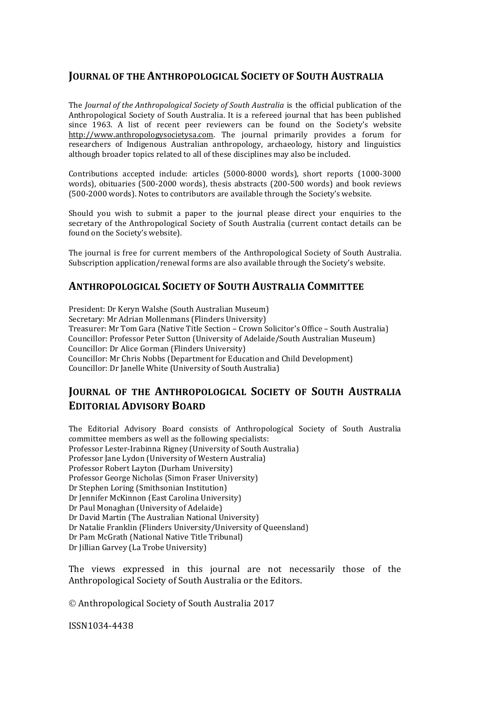#### **JOURNAL OF THE ANTHROPOLOGICAL SOCIETY OF SOUTH AUSTRALIA**

The *Journal of the Anthropological Society of South Australia* is the official publication of the Anthropological Society of South Australia. It is a refereed journal that has been published since  $1963$ . A list of recent peer reviewers can be found on the Society's website http://www.anthropologysocietysa.com. The journal primarily provides a forum for researchers of Indigenous Australian anthropology, archaeology, history and linguistics although broader topics related to all of these disciplines may also be included.

Contributions accepted include: articles (5000-8000 words), short reports (1000-3000 words), obituaries (500-2000 words), thesis abstracts (200-500 words) and book reviews (500-2000 words). Notes to contributors are available through the Society's website.

Should you wish to submit a paper to the journal please direct your enquiries to the secretary of the Anthropological Society of South Australia (current contact details can be found on the Society's website).

The journal is free for current members of the Anthropological Society of South Australia. Subscription application/renewal forms are also available through the Society's website.

#### **ANTHROPOLOGICAL SOCIETY OF SOUTH AUSTRALIA COMMITTEE**

President: Dr Keryn Walshe (South Australian Museum) Secretary: Mr Adrian Mollenmans (Flinders University) Treasurer: Mr Tom Gara (Native Title Section – Crown Solicitor's Office – South Australia) Councillor: Professor Peter Sutton (University of Adelaide/South Australian Museum) Councillor: Dr Alice Gorman (Flinders University) Councillor: Mr Chris Nobbs (Department for Education and Child Development) Councillor: Dr Janelle White (University of South Australia)

### **JOURNAL OF THE ANTHROPOLOGICAL SOCIETY OF SOUTH AUSTRALIA EDITORIAL ADVISORY BOARD**

The Editorial Advisory Board consists of Anthropological Society of South Australia committee members as well as the following specialists: Professor Lester-Irabinna Rigney (University of South Australia) Professor Jane Lydon (University of Western Australia) Professor Robert Layton (Durham University) Professor George Nicholas (Simon Fraser University) Dr Stephen Loring (Smithsonian Institution) Dr Jennifer McKinnon (East Carolina University) Dr Paul Monaghan (University of Adelaide) Dr David Martin (The Australian National University) Dr Natalie Franklin (Flinders University/University of Queensland) Dr Pam McGrath (National Native Title Tribunal) Dr Jillian Garvey (La Trobe University)

The views expressed in this journal are not necessarily those of the Anthropological Society of South Australia or the Editors.

© Anthropological Society of South Australia 2017

ISSN1034-4438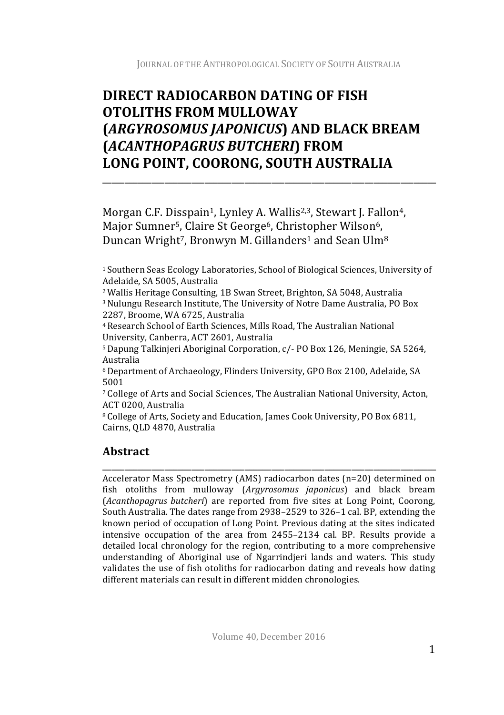## **DIRECT RADIOCARBON DATING OF FISH OTOLITHS FROM MULLOWAY (***ARGYROSOMUS JAPONICUS***) AND BLACK BREAM (***ACANTHOPAGRUS BUTCHERI***) FROM LONG POINT, COORONG, SOUTH AUSTRALIA**

\_\_\_\_\_\_\_\_\_\_\_\_\_\_\_\_\_\_\_\_\_\_\_\_\_\_\_\_\_\_\_\_\_\_\_\_\_\_\_\_\_\_\_\_\_\_\_\_\_\_\_\_\_\_\_\_\_\_\_\_\_\_\_\_\_\_\_\_\_\_\_\_\_\_\_

Morgan C.F. Disspain<sup>1</sup>, Lynley A. Wallis<sup>2,3</sup>, Stewart J. Fallon<sup>4</sup>, Major Sumner<sup>5</sup>, Claire St George<sup>6</sup>, Christopher Wilson<sup>6</sup>, Duncan Wright<sup>7</sup>, Bronwyn M. Gillanders<sup>1</sup> and Sean Ulm<sup>8</sup>

<sup>1</sup> Southern Seas Ecology Laboratories, School of Biological Sciences, University of Adelaide, SA 5005, Australia

<sup>2</sup> Wallis Heritage Consulting, 1B Swan Street, Brighton, SA 5048, Australia <sup>3</sup> Nulungu Research Institute, The University of Notre Dame Australia, PO Box 2287, Broome, WA 6725, Australia

<sup>4</sup> Research School of Earth Sciences, Mills Road, The Australian National University, Canberra, ACT 2601, Australia

<sup>5</sup> Dapung Talkinjeri Aboriginal Corporation, c/- PO Box 126, Meningie, SA 5264, Australia

<sup>6</sup> Department of Archaeology, Flinders University, GPO Box 2100, Adelaide, SA 5001

<sup>7</sup> College of Arts and Social Sciences, The Australian National University, Acton, ACT 0200, Australia

<sup>8</sup> College of Arts, Society and Education, James Cook University, PO Box 6811, Cairns, QLD 4870, Australia

## **Abstract**

Accelerator Mass Spectrometry (AMS) radiocarbon dates (n=20) determined on fish otoliths from mulloway (Argyrosomus japonicus) and black bream (*Acanthopagrus butcheri*) are reported from five sites at Long Point, Coorong, South Australia. The dates range from 2938-2529 to 326-1 cal. BP, extending the known period of occupation of Long Point. Previous dating at the sites indicated intensive occupation of the area from 2455-2134 cal. BP. Results provide a detailed local chronology for the region, contributing to a more comprehensive understanding of Aboriginal use of Ngarrindjeri lands and waters. This study validates the use of fish otoliths for radiocarbon dating and reveals how dating different materials can result in different midden chronologies.

\_\_\_\_\_\_\_\_\_\_\_\_\_\_\_\_\_\_\_\_\_\_\_\_\_\_\_\_\_\_\_\_\_\_\_\_\_\_\_\_\_\_\_\_\_\_\_\_\_\_\_\_\_\_\_\_\_\_\_\_\_\_\_\_\_\_\_\_\_\_\_\_\_\_\_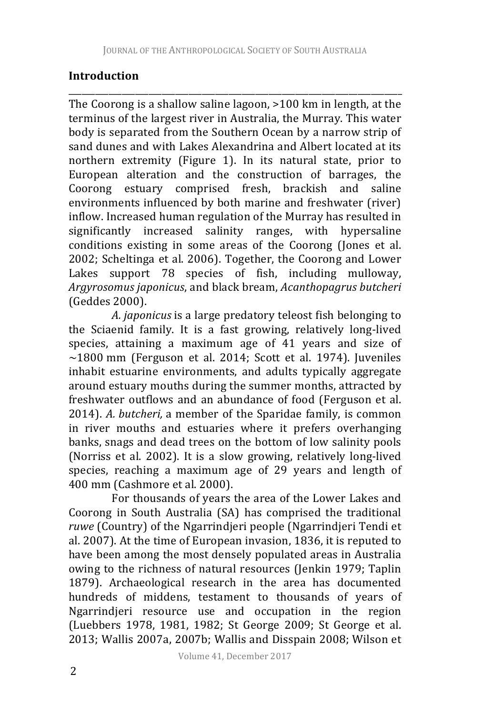## **Introduction**

\_\_\_\_\_\_\_\_\_\_\_\_\_\_\_\_\_\_\_\_\_\_\_\_\_\_\_\_\_\_\_\_\_\_\_\_\_\_\_\_\_\_\_\_\_\_\_\_\_\_\_\_\_\_\_\_\_\_\_\_\_\_\_\_\_\_\_\_\_\_\_\_\_\_\_ The Coorong is a shallow saline lagoon,  $>100$  km in length, at the terminus of the largest river in Australia, the Murray. This water body is separated from the Southern Ocean by a narrow strip of sand dunes and with Lakes Alexandrina and Albert located at its northern extremity (Figure 1). In its natural state, prior to European alteration and the construction of barrages, the Coorong estuary comprised fresh, brackish and saline environments influenced by both marine and freshwater (river) inflow. Increased human regulation of the Murray has resulted in significantly increased salinity ranges, with hypersaline conditions existing in some areas of the Coorong (Jones et al. 2002; Scheltinga et al. 2006). Together, the Coorong and Lower Lakes support 78 species of fish, including mulloway, *Argyrosomus japonicus,* and black bream, *Acanthopagrus butcheri* (Geddes 2000).

*A. japonicus* is a large predatory teleost fish belonging to the Sciaenid family. It is a fast growing, relatively long-lived species, attaining a maximum age of 41 years and size of  $\sim$ 1800 mm (Ferguson et al. 2014; Scott et al. 1974). Juveniles inhabit estuarine environments, and adults typically aggregate around estuary mouths during the summer months, attracted by freshwater outflows and an abundance of food (Ferguson et al. 2014). *A. butcheri*, a member of the Sparidae family, is common in river mouths and estuaries where it prefers overhanging banks, snags and dead trees on the bottom of low salinity pools (Norriss et al. 2002). It is a slow growing, relatively long-lived species, reaching a maximum age of  $29$  years and length of 400 mm (Cashmore et al. 2000).

For thousands of years the area of the Lower Lakes and Coorong in South Australia (SA) has comprised the traditional *ruwe* (Country) of the Ngarrindjeri people (Ngarrindjeri Tendi et al. 2007). At the time of European invasion, 1836, it is reputed to have been among the most densely populated areas in Australia owing to the richness of natural resources (Jenkin 1979; Taplin 1879). Archaeological research in the area has documented hundreds of middens, testament to thousands of years of Ngarrindjeri resource use and occupation in the region (Luebbers 1978, 1981, 1982; St George 2009; St George et al.  $2013$ : Wallis 2007a, 2007b: Wallis and Disspain 2008; Wilson et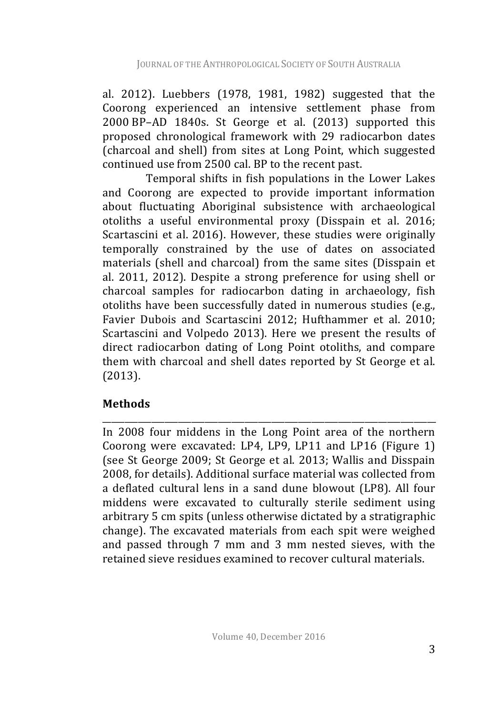al. 2012). Luebbers (1978, 1981, 1982) suggested that the Coorong experienced an intensive settlement phase from 2000 BP–AD 1840s. St George et al. (2013) supported this proposed chronological framework with 29 radiocarbon dates (charcoal and shell) from sites at Long Point, which suggested continued use from 2500 cal. BP to the recent past.

Temporal shifts in fish populations in the Lower Lakes and Coorong are expected to provide important information about fluctuating Aboriginal subsistence with archaeological otoliths a useful environmental proxy (Disspain et al. 2016; Scartascini et al. 2016). However, these studies were originally temporally constrained by the use of dates on associated materials (shell and charcoal) from the same sites (Disspain et al. 2011, 2012). Despite a strong preference for using shell or charcoal samples for radiocarbon dating in archaeology, fish otoliths have been successfully dated in numerous studies (e.g., Favier Dubois and Scartascini 2012: Hufthammer et al. 2010: Scartascini and Volpedo 2013). Here we present the results of direct radiocarbon dating of Long Point otoliths, and compare them with charcoal and shell dates reported by St George et al. (2013).

## **Methods**

\_\_\_\_\_\_\_\_\_\_\_\_\_\_\_\_\_\_\_\_\_\_\_\_\_\_\_\_\_\_\_\_\_\_\_\_\_\_\_\_\_\_\_\_\_\_\_\_\_\_\_\_\_\_\_\_\_\_\_\_\_\_\_\_\_\_\_\_\_\_\_\_\_\_\_ In 2008 four middens in the Long Point area of the northern Coorong were excavated: LP4, LP9, LP11 and LP16 (Figure 1) (see St George 2009; St George et al. 2013; Wallis and Disspain 2008, for details). Additional surface material was collected from a deflated cultural lens in a sand dune blowout (LP8). All four middens were excavated to culturally sterile sediment using arbitrary 5 cm spits (unless otherwise dictated by a stratigraphic change). The excavated materials from each spit were weighed and passed through 7 mm and 3 mm nested sieves, with the retained sieve residues examined to recover cultural materials.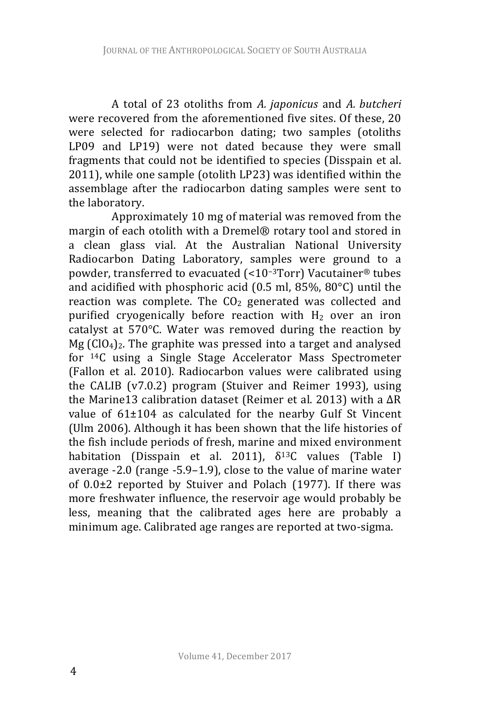A total of 23 otoliths from *A. japonicus* and *A. butcheri* were recovered from the aforementioned five sites. Of these, 20 were selected for radiocarbon dating; two samples (otoliths LP09 and LP19) were not dated because they were small fragments that could not be identified to species (Disspain et al. 2011), while one sample (otolith LP23) was identified within the assemblage after the radiocarbon dating samples were sent to the laboratory.

Approximately 10 mg of material was removed from the margin of each otolith with a Dremel® rotary tool and stored in a clean glass vial. At the Australian National University Radiocarbon Dating Laboratory, samples were ground to a powder, transferred to evacuated (<10<sup>-3</sup>Torr) Vacutainer<sup>®</sup> tubes and acidified with phosphoric acid (0.5 ml, 85%, 80°C) until the reaction was complete. The  $CO<sub>2</sub>$  generated was collected and purified cryogenically before reaction with  $H_2$  over an iron catalyst at  $570^{\circ}$ C. Water was removed during the reaction by  $Mg$  (ClO<sub>4</sub>)<sub>2</sub>. The graphite was pressed into a target and analysed for  $14C$  using a Single Stage Accelerator Mass Spectrometer (Fallon et al. 2010). Radiocarbon values were calibrated using the CALIB  $(v7.0.2)$  program (Stuiver and Reimer 1993), using the Marine13 calibration dataset (Reimer et al. 2013) with a  $\Delta$ R value of  $61\pm104$  as calculated for the nearby Gulf St Vincent (Ulm 2006). Although it has been shown that the life histories of the fish include periods of fresh, marine and mixed environment habitation (Disspain et al. 2011),  $\delta^{13}$ C values (Table I) average  $-2.0$  (range  $-5.9-1.9$ ), close to the value of marine water of  $0.0\pm 2$  reported by Stuiver and Polach (1977). If there was more freshwater influence, the reservoir age would probably be less, meaning that the calibrated ages here are probably a minimum age. Calibrated age ranges are reported at two-sigma.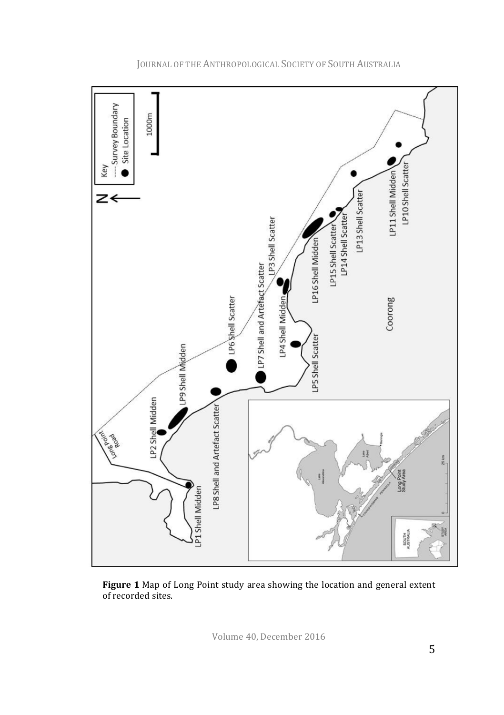

JOURNAL OF THE ANTHROPOLOGICAL SOCIETY OF SOUTH AUSTRALIA

Figure 1 Map of Long Point study area showing the location and general extent of recorded sites.

Volume 40, December 2016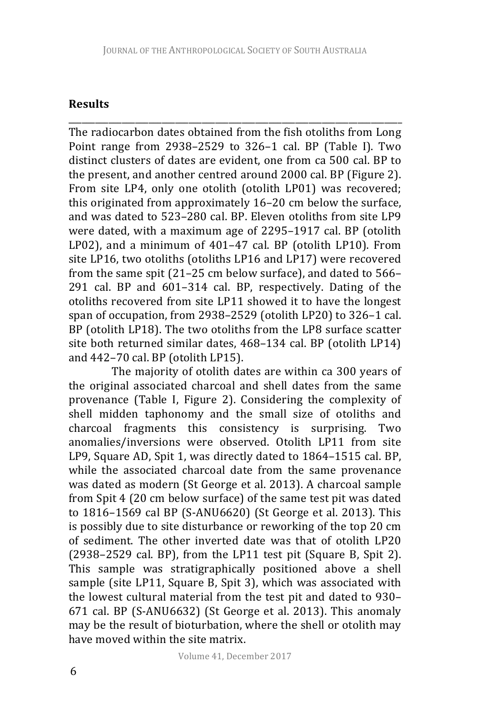\_\_\_\_\_\_\_\_\_\_\_\_\_\_\_\_\_\_\_\_\_\_\_\_\_\_\_\_\_\_\_\_\_\_\_\_\_\_\_\_\_\_\_\_\_\_\_\_\_\_\_\_\_\_\_\_\_\_\_\_\_\_\_\_\_\_\_\_\_\_\_\_\_\_\_

#### **Results**

The radiocarbon dates obtained from the fish otoliths from Long Point range from  $2938-2529$  to  $326-1$  cal. BP (Table I). Two distinct clusters of dates are evident, one from ca 500 cal. BP to the present, and another centred around 2000 cal. BP (Figure 2). From site LP4, only one otolith (otolith LP01) was recovered; this originated from approximately 16–20 cm below the surface. and was dated to 523-280 cal. BP. Eleven otoliths from site LP9 were dated, with a maximum age of 2295-1917 cal. BP (otolith LP02), and a minimum of 401-47 cal. BP (otolith LP10). From site LP16, two otoliths (otoliths LP16 and LP17) were recovered from the same spit  $(21-25 \text{ cm} \text{ below} \text{ surface})$ , and dated to  $566-$ 291 cal. BP and 601-314 cal. BP, respectively. Dating of the otoliths recovered from site LP11 showed it to have the longest span of occupation, from 2938-2529 (otolith LP20) to 326-1 cal. BP (otolith LP18). The two otoliths from the LP8 surface scatter site both returned similar dates, 468-134 cal. BP (otolith LP14) and  $442-70$  cal. BP (otolith LP15).

The majority of otolith dates are within ca 300 years of the original associated charcoal and shell dates from the same provenance (Table I, Figure 2). Considering the complexity of shell midden taphonomy and the small size of otoliths and charcoal fragments this consistency is surprising. Two anomalies/inversions were observed. Otolith LP11 from site LP9, Square AD, Spit 1, was directly dated to 1864-1515 cal. BP, while the associated charcoal date from the same provenance was dated as modern (St George et al. 2013). A charcoal sample from Spit 4 (20 cm below surface) of the same test pit was dated to 1816–1569 cal BP (S-ANU6620) (St George et al. 2013). This is possibly due to site disturbance or reworking of the top 20 cm of sediment. The other inverted date was that of otolith LP20  $(2938-2529 \text{ cal. BP})$ , from the LP11 test pit  $(Square B, Spit 2)$ . This sample was stratigraphically positioned above a shell sample (site LP11, Square B, Spit 3), which was associated with the lowest cultural material from the test pit and dated to 930-671 cal. BP (S-ANU6632) (St George et al. 2013). This anomaly may be the result of bioturbation, where the shell or otolith may have moved within the site matrix.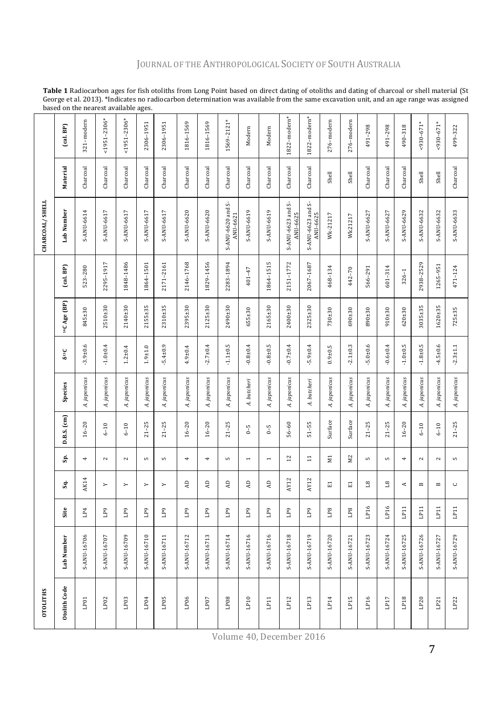**Table 1** Radiocarbon ages for fish otoliths from Long Point based on direct dating of otoliths and dating of charcoal or shell material (St<br>George et al. 2013). \*Indicates no radiocarbon determination was available from t based on the nearest available ages.

| OTOLITHS         |             |                 |                         |                |             |              |                |               |             | CHARCOAL/SHELL                |          |                  |
|------------------|-------------|-----------------|-------------------------|----------------|-------------|--------------|----------------|---------------|-------------|-------------------------------|----------|------------------|
| Otolith Code     | Lab Number  | Site            | S,                      | s.             | D.B.S. (cm) | Species      | 813C           | 14C Age (BP)  | (cal. BP)   | Lab Number                    | Material | (cal. BP)        |
| LP01             | S-ANU-16706 | LP4             | AK14                    | 4              | $16 - 20$   | A. japonicus | $3.9 + 0.6$    | 845±30        | 523-280     | S-ANU-6614                    | Charcoal | 321-modern       |
| LP <sub>02</sub> | S-ANU-16707 | LP9             | $\geq$                  | $\sim$         | $6 - 10$    | A. japonicus | $-1.0 + 0.4$   | 2510±30       | 2295-1917   | S-ANU-6617                    | Charcoal | $<$ 1951-2306*   |
| LP <sub>03</sub> | S-ANU-16709 | LP9             | $\rightarrow$           | 2              | $6 - 10$    | A. japonicus | $1.2 + 0.4$    | 2140±30       | 1848-1486   | S-ANU-6617                    | Charcoal | $<$ 1951-2306*   |
| LP04             | S-ANU-16710 | LP9             | ×                       | S              | $21 - 25$   | A. japonicus | $1.9 + 1.0$    | $2155 \pm 35$ | 1864-1501   | S-ANU-6617                    | Charcoal | 2306-1951        |
| LP05             | S-ANU-16711 | LP9             | $\blacktriangleright$   | S              | $21 - 25$   | A. japonicus | $-5.4 \pm 0.9$ | 2310±35       | 2171-2161   | S-ANU-6617                    | Charcoal | 2306-1951        |
| LP06             | S-ANU-16712 | <b>P9</b>       | 5                       | ÷              | $16 - 20$   | A. japonicus | $4.9 \pm 0.4$  | $2395 + 30$   | 2146-1768   | S-ANU-6620                    | Charcoal | 1816-1569        |
| LP07             | S-ANU-16713 | LP9             | ę                       | 4              | $16 - 20$   | A. japonicus | $-2.7 \pm 0.4$ | $2125 + 30$   | 1829-1456   | S-ANU-6620                    | Charcoal | 1816-1569        |
| LP08             | S-ANU-16714 | LP9             | £                       | S              | $21 - 25$   | A. japonicus | $-1.1 \pm 0.5$ | 2490±30       | 2283-1894   | S-ANU-6620 and S-<br>ANU-6621 | Charcoal | $1569 - 2121*$   |
| LP10             | S-ANU-16716 | LP9             | ę                       | $\overline{a}$ | $\sqrt{0}$  | A. butcheri  | $-0.8 + 0.4$   | 655±30        | 401-47      | S-ANU-6619                    | Charcoal | Modern           |
| LP11             | S-ANU-16716 | LP9             | £                       | $\overline{ }$ | $0 - 5$     | A. japonicus | $-0.8 + 0.5$   | $2165 + 30$   | 1864-1515   | S-ANU-6619                    | Charcoal | Modern           |
| LP12             | S-ANU-16718 | LP9             | AY12                    | 12             | $56 - 60$   | A. japonicus | $-0.7 + 0.4$   | $2400 + 30$   | 2151-1772   | S-ANU-6623 and S-<br>ANU-6625 | Charcoal | $1822 -$ modern* |
| LP13             | S-ANU-16719 | LP9             | AY12                    | $\Xi$          | $51 - 55$   | A. butcheri  | $-5.9 \pm 0.4$ | $2325 + 30$   | 2067-1687   | S-ANU-6623 and S-<br>ANU-6625 | Charcoal | $1822$ -modern*  |
| LP14             | S-ANU-16720 | LP <sub>8</sub> | $\Xi$                   | Ξ              | Surface     | A. japonicus | $0.9 + 0.5$    | 730±30        | 468-134     | Wk-21217                      | Shell    | 276-modern       |
| LP15             | S-ANU-16721 | Bd <sup>1</sup> | 冨                       | M2             | Surface     | A. japonicus | $-2.1 \pm 0.3$ | 690±30        | $442 - 70$  | Wk21217                       | Shell    | 276-modern       |
| LP16             | S-ANU-16723 | LP16            | $\overline{a}$          | LO.            | $21 - 25$   | A. japonicus | $-5.0 + 0.6$   | 890±30        | 566-291     | S-ANU-6627                    | Charcoal | 491-298          |
| LP17             | S-ANU-16724 | LP16            | $\mathbf{L} \mathbf{8}$ | LO.            | $21 - 25$   | A. japonicus | $-0.6 + 0.4$   | $910 + 30$    | $601 - 314$ | S-ANU-6627                    | Charcoal | 491-298          |
| LPI8             | S-ANU-16725 | LPI1            | ¢                       | 4              | $16 - 20$   | A. japonicus | $-1.0 + 0.5$   | $620 + 30$    | $326 - 1$   | S-ANU-6629                    | Charcoal | 490-318          |
| LP20             | S-ANU-16726 | LP11            | $\mathbf{m}$            | $\sim$         | $6 - 10$    | A. japonicus | $-1.8 + 0.5$   | 3035±35       | 2938-2529   | S-ANU-6632                    | Shell    | $-930 - 671*$    |
| LP21             | S-ANU-16727 | LPI1            | $\approx$               | $\sim$         | $6 - 10$    | A. japonicus | $-4.5 \pm 0.6$ | $1620 + 35$   | 1265-951    | S-ANU-6632                    | Shell    | $-671*$          |
| LP22             | S-ANU-16729 | $\mathsf{LPI1}$ | $\circ$                 | S              | $21 - 25$   | A. japonicus | $-2.3 \pm 1.1$ | $725 + 35$    | 471-124     | S-ANU-6633                    | Charcoal | 499-322          |

Volume 40, December 2016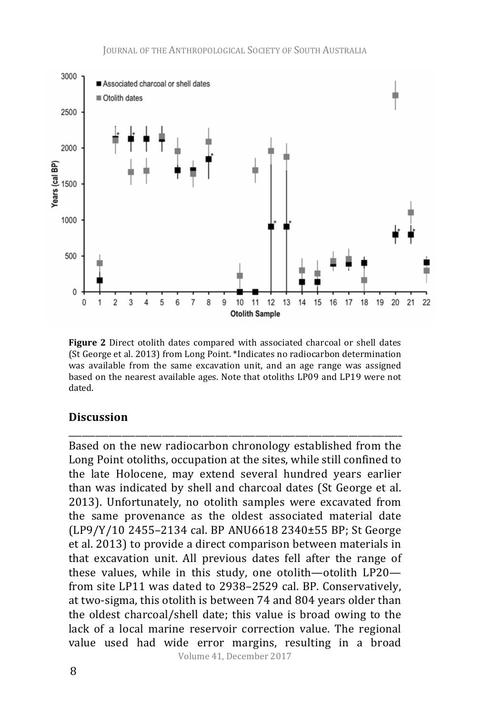

**Figure 2** Direct otolith dates compared with associated charcoal or shell dates (St George et al. 2013) from Long Point. \*Indicates no radiocarbon determination was available from the same excavation unit, and an age range was assigned based on the nearest available ages. Note that otoliths LP09 and LP19 were not dated.

\_\_\_\_\_\_\_\_\_\_\_\_\_\_\_\_\_\_\_\_\_\_\_\_\_\_\_\_\_\_\_\_\_\_\_\_\_\_\_\_\_\_\_\_\_\_\_\_\_\_\_\_\_\_\_\_\_\_\_\_\_\_\_\_\_\_\_\_\_\_\_\_\_\_\_

#### **Discussion**

Based on the new radiocarbon chronology established from the Long Point otoliths, occupation at the sites, while still confined to the late Holocene, may extend several hundred years earlier than was indicated by shell and charcoal dates (St George et al. 2013). Unfortunately, no otolith samples were excavated from the same provenance as the oldest associated material date (LP9/Y/10 2455–2134 cal. BP ANU6618 2340±55 BP; St George et al. 2013) to provide a direct comparison between materials in that excavation unit. All previous dates fell after the range of these values, while in this study, one otolith—otolith  $LP20$ from site LP11 was dated to 2938-2529 cal. BP. Conservatively, at two-sigma, this otolith is between 74 and 804 years older than the oldest charcoal/shell date; this value is broad owing to the lack of a local marine reservoir correction value. The regional value used had wide error margins, resulting in a broad

Volume 41, December 2017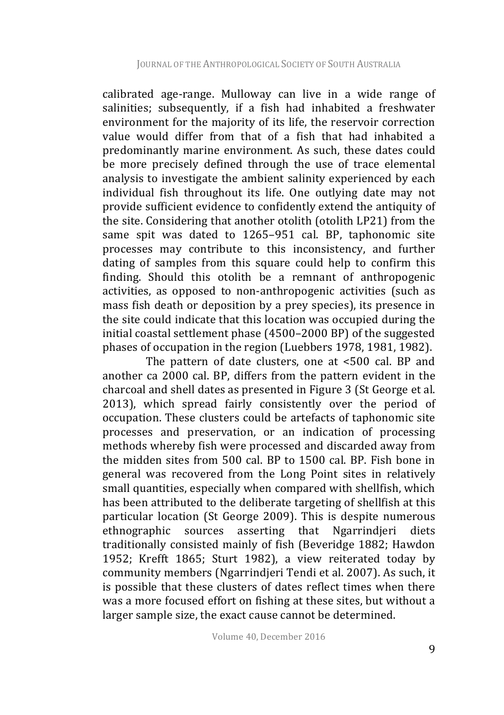calibrated age-range. Mulloway can live in a wide range of salinities: subsequently, if a fish had inhabited a freshwater environment for the majority of its life, the reservoir correction value would differ from that of a fish that had inhabited a predominantly marine environment. As such, these dates could be more precisely defined through the use of trace elemental analysis to investigate the ambient salinity experienced by each individual fish throughout its life. One outlying date may not provide sufficient evidence to confidently extend the antiquity of the site. Considering that another otolith (otolith LP21) from the same spit was dated to  $1265-951$  cal. BP, taphonomic site processes may contribute to this inconsistency, and further dating of samples from this square could help to confirm this finding. Should this otolith be a remnant of anthropogenic activities, as opposed to non-anthropogenic activities (such as mass fish death or deposition by a prey species), its presence in the site could indicate that this location was occupied during the initial coastal settlement phase  $(4500-2000$  BP) of the suggested phases of occupation in the region (Luebbers 1978, 1981, 1982).

The pattern of date clusters, one at <500 cal. BP and another ca 2000 cal. BP, differs from the pattern evident in the charcoal and shell dates as presented in Figure 3 (St George et al. 2013), which spread fairly consistently over the period of occupation. These clusters could be artefacts of taphonomic site processes and preservation, or an indication of processing methods whereby fish were processed and discarded away from the midden sites from  $500$  cal. BP to  $1500$  cal. BP. Fish bone in general was recovered from the Long Point sites in relatively small quantities, especially when compared with shellfish, which has been attributed to the deliberate targeting of shellfish at this particular location (St George 2009). This is despite numerous ethnographic sources asserting that Ngarrindjeri diets traditionally consisted mainly of fish (Beveridge 1882; Hawdon 1952; Krefft 1865; Sturt 1982), a view reiterated today by community members (Ngarrindjeri Tendi et al. 2007). As such, it is possible that these clusters of dates reflect times when there was a more focused effort on fishing at these sites, but without a larger sample size, the exact cause cannot be determined.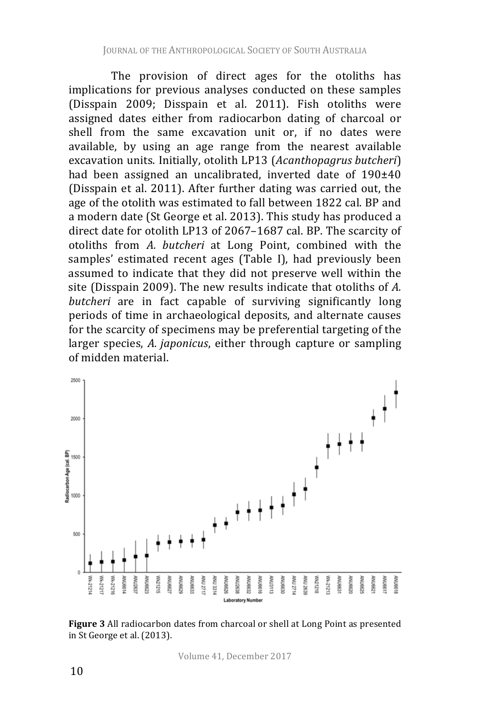The provision of direct ages for the otoliths has implications for previous analyses conducted on these samples (Disspain 2009; Disspain et al. 2011). Fish otoliths were assigned dates either from radiocarbon dating of charcoal or shell from the same excavation unit or, if no dates were available, by using an age range from the nearest available excavation units. Initially, otolith LP13 (*Acanthopagrus butcheri*) had been assigned an uncalibrated, inverted date of  $190\pm40$ (Disspain et al. 2011). After further dating was carried out, the age of the otolith was estimated to fall between 1822 cal. BP and a modern date (St George et al. 2013). This study has produced a direct date for otolith LP13 of 2067-1687 cal. BP. The scarcity of otoliths from *A. butcheri* at Long Point, combined with the samples' estimated recent ages (Table I), had previously been assumed to indicate that they did not preserve well within the site (Disspain 2009). The new results indicate that otoliths of A. *butcheri* are in fact capable of surviving significantly long periods of time in archaeological deposits, and alternate causes for the scarcity of specimens may be preferential targeting of the larger species, A. *japonicus*, either through capture or sampling of midden material.



**Figure 3** All radiocarbon dates from charcoal or shell at Long Point as presented in St George et al. (2013).

Volume 41, December 2017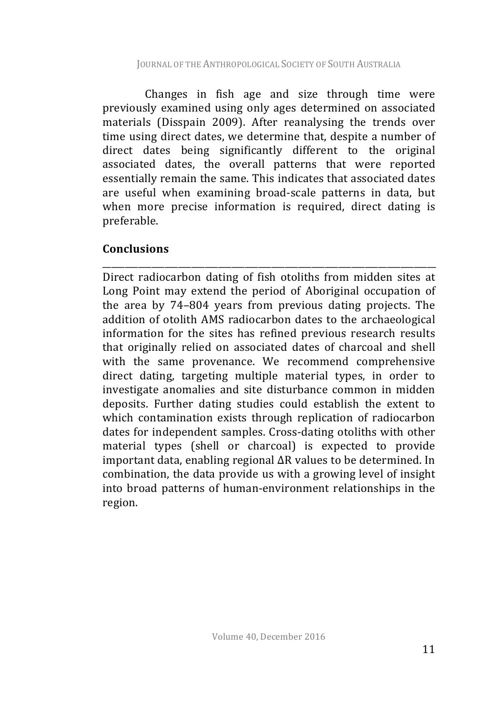Changes in fish age and size through time were previously examined using only ages determined on associated materials (Disspain 2009). After reanalysing the trends over time using direct dates, we determine that, despite a number of direct dates being significantly different to the original associated dates, the overall patterns that were reported essentially remain the same. This indicates that associated dates are useful when examining broad-scale patterns in data, but when more precise information is required, direct dating is preferable. 

### **Conclusions**

\_\_\_\_\_\_\_\_\_\_\_\_\_\_\_\_\_\_\_\_\_\_\_\_\_\_\_\_\_\_\_\_\_\_\_\_\_\_\_\_\_\_\_\_\_\_\_\_\_\_\_\_\_\_\_\_\_\_\_\_\_\_\_\_\_\_\_\_\_\_\_\_\_\_\_ Direct radiocarbon dating of fish otoliths from midden sites at Long Point may extend the period of Aboriginal occupation of the area by 74–804 vears from previous dating projects. The addition of otolith AMS radiocarbon dates to the archaeological information for the sites has refined previous research results that originally relied on associated dates of charcoal and shell with the same provenance. We recommend comprehensive direct dating, targeting multiple material types, in order to investigate anomalies and site disturbance common in midden deposits. Further dating studies could establish the extent to which contamination exists through replication of radiocarbon dates for independent samples. Cross-dating otoliths with other material types (shell or charcoal) is expected to provide important data, enabling regional ∆R values to be determined. In combination, the data provide us with a growing level of insight into broad patterns of human-environment relationships in the region.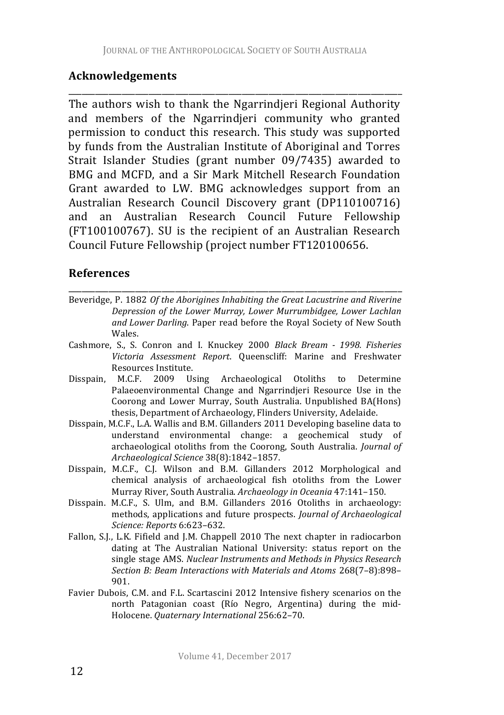\_\_\_\_\_\_\_\_\_\_\_\_\_\_\_\_\_\_\_\_\_\_\_\_\_\_\_\_\_\_\_\_\_\_\_\_\_\_\_\_\_\_\_\_\_\_\_\_\_\_\_\_\_\_\_\_\_\_\_\_\_\_\_\_\_\_\_\_\_\_\_\_\_\_\_

### **Acknowledgements**

The authors wish to thank the Ngarrindjeri Regional Authority and members of the Ngarrindjeri community who granted permission to conduct this research. This study was supported by funds from the Australian Institute of Aboriginal and Torres Strait Islander Studies (grant number 09/7435) awarded to BMG and MCFD, and a Sir Mark Mitchell Research Foundation Grant awarded to LW. BMG acknowledges support from an Australian Research Council Discovery grant (DP110100716) and an Australian Research Council Future Fellowship (FT100100767). SU is the recipient of an Australian Research Council Future Fellowship (project number FT120100656.

#### **References**

Beveridge, P. 1882 Of the Aborigines Inhabiting the Great Lacustrine and Riverine Depression of the Lower Murray, Lower Murrumbidgee, Lower Lachlan and Lower Darling. Paper read before the Royal Society of New South Wales.

\_\_\_\_\_\_\_\_\_\_\_\_\_\_\_\_\_\_\_\_\_\_\_\_\_\_\_\_\_\_\_\_\_\_\_\_\_\_\_\_\_\_\_\_\_\_\_\_\_\_\_\_\_\_\_\_\_\_\_\_\_\_\_\_\_\_\_\_\_\_\_\_\_\_\_

- Cashmore, S., S. Conron and I. Knuckey 2000 *Black Bream - 1998. Fisheries Victoria Assessment Report*. Queenscliff: Marine and Freshwater Resources Institute.
- Disspain, M.C.F. 2009 Using Archaeological Otoliths to Determine Palaeoenvironmental Change and Ngarrindjeri Resource Use in the Coorong and Lower Murray, South Australia. Unpublished BA(Hons) thesis, Department of Archaeology, Flinders University, Adelaide.
- Disspain, M.C.F., L.A. Wallis and B.M. Gillanders 2011 Developing baseline data to understand environmental change: a geochemical study of archaeological otoliths from the Coorong, South Australia. *Journal of Archaeological Science* 38(8):1842–1857.
- Disspain, M.C.F., C.J. Wilson and B.M. Gillanders 2012 Morphological and chemical analysis of archaeological fish otoliths from the Lower Murray River, South Australia. *Archaeology in Oceania* 47:141–150.
- Disspain. M.C.F., S. Ulm, and B.M. Gillanders 2016 Otoliths in archaeology: methods, applications and future prospects. *Journal of Archaeological Science: Reports* 6:623–632.
- Fallon, S.I., L.K. Fifield and I.M. Chappell 2010 The next chapter in radiocarbon dating at The Australian National University: status report on the single stage AMS. *Nuclear Instruments and Methods in Physics Research Section B: Beam Interactions with Materials and Atoms* 268(7–8):898– 901.
- Favier Dubois, C.M. and F.L. Scartascini 2012 Intensive fishery scenarios on the north Patagonian coast (Río Negro, Argentina) during the mid-Holocene. *Quaternary International* 256:62–70.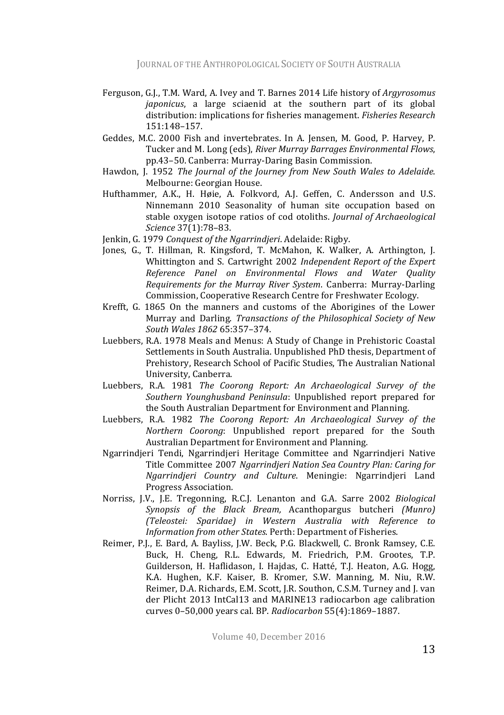- Ferguson, G.J., T.M. Ward, A. Ivey and T. Barnes 2014 Life history of *Argyrosomus japonicus*, a large sciaenid at the southern part of its global distribution: implications for fisheries management. *Fisheries Research* 151:148–157.
- Geddes, M.C. 2000 Fish and invertebrates. In A. Jensen, M. Good, P. Harvey, P. Tucker and M. Long (eds), *River Murray Barrages Environmental Flows*, pp.43-50. Canberra: Murray-Daring Basin Commission.
- Hawdon, J. 1952 *The Journal of the Journey from New South Wales to Adelaide.* Melbourne: Georgian House.
- Hufthammer, A.K., H. Høie, A. Folkvord, A.J. Geffen, C. Andersson and U.S. Ninnemann 2010 Seasonality of human site occupation based on stable oxygen isotope ratios of cod otoliths. *Journal of Archaeological Science* 37(1):78–83.
- Jenkin, G. 1979 *Conquest of the Ngarrindjeri*. Adelaide: Rigby.
- Jones, G., T. Hillman, R. Kingsford, T. McMahon, K. Walker, A. Arthington, J. Whittington and S. Cartwright 2002 *Independent Report of the Expert Reference Panel on Environmental Flows and Water Quality Requirements for the Murray River System*. Canberra: Murray-Darling Commission, Cooperative Research Centre for Freshwater Ecology.
- Krefft, G. 1865 On the manners and customs of the Aborigines of the Lower Murray and Darling. *Transactions of the Philosophical Society of New South Wales 1862* 65:357–374.
- Luebbers, R.A. 1978 Meals and Menus: A Study of Change in Prehistoric Coastal Settlements in South Australia. Unpublished PhD thesis, Department of Prehistory, Research School of Pacific Studies, The Australian National University, Canberra.
- Luebbers, R.A. 1981 *The Coorong Report: An Archaeological Survey of the Southern Younghusband Peninsula*: Unpublished report prepared for the South Australian Department for Environment and Planning.
- Luebbers, R.A. 1982 The Coorong Report: An Archaeological Survey of the *Northern Coorong*: Unpublished report prepared for the South Australian Department for Environment and Planning.
- Ngarrindjeri Tendi, Ngarrindjeri Heritage Committee and Ngarrindjeri Native Title Committee 2007 Naarrindieri Nation Sea Country Plan: Carina for *Ngarrindjeri Country and Culture*. Meningie: Ngarrindjeri Land Progress Association.
- Norriss, J.V., J.E. Tregonning, R.C.J. Lenanton and G.A. Sarre 2002 *Biological Synopsis of the Black Bream,*  Acanthopargus butcheri *(Munro) (Teleostei: Sparidae) in Western Australia with Reference to Information from other States*. Perth: Department of Fisheries.
- Reimer, P.J., E. Bard, A. Bayliss, J.W. Beck, P.G. Blackwell, C. Bronk Ramsey, C.E. Buck, H. Cheng, R.L. Edwards, M. Friedrich, P.M. Grootes, T.P. Guilderson, H. Haflidason, I. Hajdas, C. Hatté, T.J. Heaton, A.G. Hogg, K.A. Hughen, K.F. Kaiser, B. Kromer, S.W. Manning, M. Niu, R.W. Reimer, D.A. Richards, E.M. Scott, J.R. Southon, C.S.M. Turney and J. van der Plicht 2013 IntCal13 and MARINE13 radiocarbon age calibration curves 0–50,000 years cal. BP. *Radiocarbon* 55(4):1869–1887.